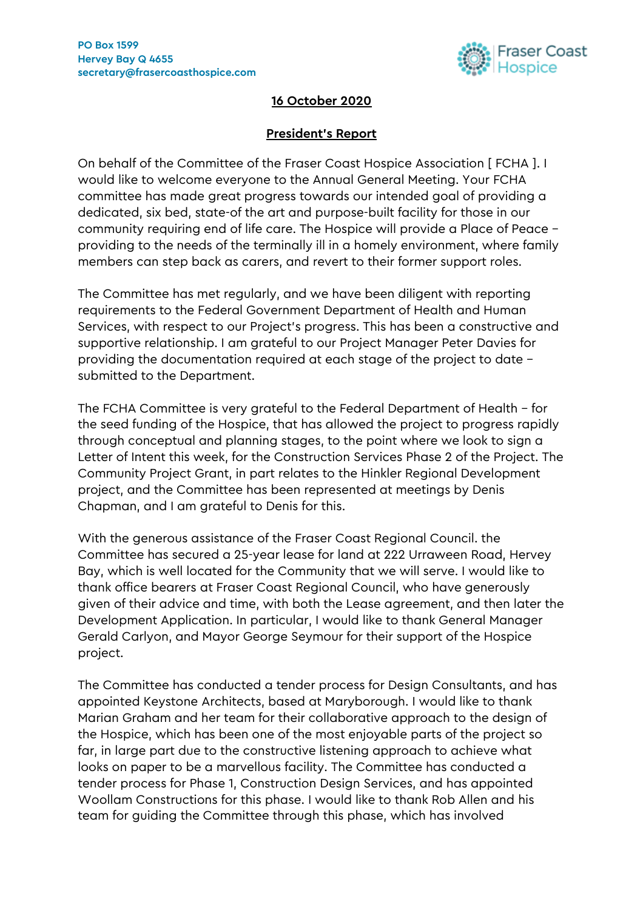

## **16 October 2020**

## **President's Report**

On behalf of the Committee of the Fraser Coast Hospice Association [ FCHA ]. I would like to welcome everyone to the Annual General Meeting. Your FCHA committee has made great progress towards our intended goal of providing a dedicated, six bed, state-of the art and purpose-built facility for those in our community requiring end of life care. The Hospice will provide a Place of Peace – providing to the needs of the terminally ill in a homely environment, where family members can step back as carers, and revert to their former support roles.

The Committee has met regularly, and we have been diligent with reporting requirements to the Federal Government Department of Health and Human Services, with respect to our Project's progress. This has been a constructive and supportive relationship. I am grateful to our Project Manager Peter Davies for providing the documentation required at each stage of the project to date – submitted to the Department.

The FCHA Committee is very grateful to the Federal Department of Health – for the seed funding of the Hospice, that has allowed the project to progress rapidly through conceptual and planning stages, to the point where we look to sign a Letter of Intent this week, for the Construction Services Phase 2 of the Project. The Community Project Grant, in part relates to the Hinkler Regional Development project, and the Committee has been represented at meetings by Denis Chapman, and I am grateful to Denis for this.

With the generous assistance of the Fraser Coast Regional Council. the Committee has secured a 25-year lease for land at 222 Urraween Road, Hervey Bay, which is well located for the Community that we will serve. I would like to thank office bearers at Fraser Coast Regional Council, who have generously given of their advice and time, with both the Lease agreement, and then later the Development Application. In particular, I would like to thank General Manager Gerald Carlyon, and Mayor George Seymour for their support of the Hospice project.

The Committee has conducted a tender process for Design Consultants, and has appointed Keystone Architects, based at Maryborough. I would like to thank Marian Graham and her team for their collaborative approach to the design of the Hospice, which has been one of the most enjoyable parts of the project so far, in large part due to the constructive listening approach to achieve what looks on paper to be a marvellous facility. The Committee has conducted a tender process for Phase 1, Construction Design Services, and has appointed Woollam Constructions for this phase. I would like to thank Rob Allen and his team for guiding the Committee through this phase, which has involved